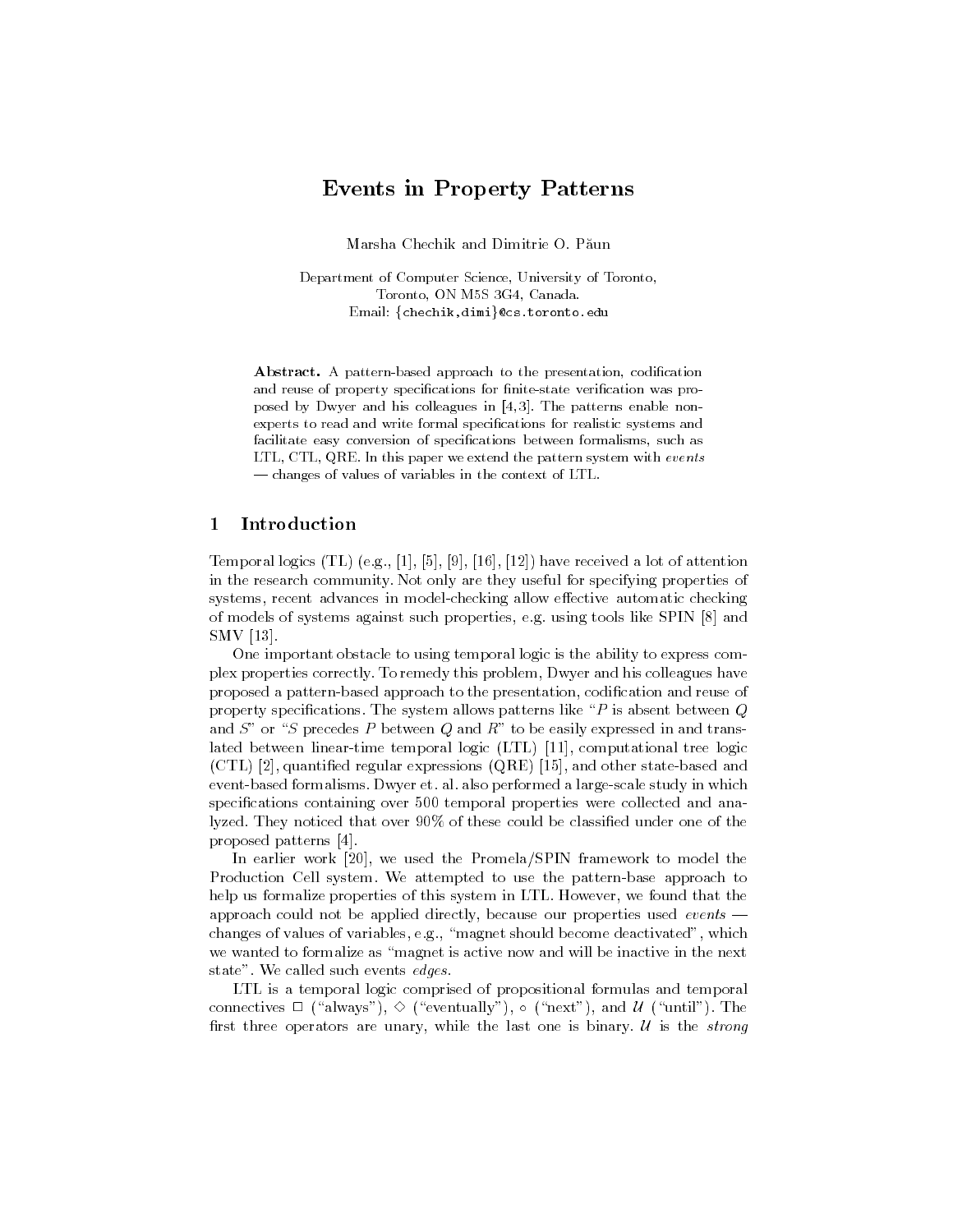# Events in Property Patterns

Marsha Chechik and Dimitrie O. Paun

Department of Computer Science, University of Toronto, Toronto, ON M5S 3G4, Canada. Email: {chechik,dimi}@cs.toronto.edu

Abstract. A pattern-based approach to the presentation, codification and reuse of property specifications for finite-state verification was proposed by Dwyer and his colleagues in [4, 3]. The patterns enable nonexperts to read and write formal specifications for realistic systems and facilitate easy conversion of specifications between formalisms, such as LTL, CTL, QRE. In this paper we extend the pattern system with *events* - changes of values of variables in the context of LTL.

#### **Introduction**  $\mathbf{1}$

Temporal logics (TL) (e.g., [1], [5], [9], [16], [12]) have received a lot of attention in the research community. Not only are they useful for specifying properties of systems, recent advances in model-checking allow effective automatic checking of models of systems against such properties, e.g. using tools like SPIN [8] and SMV [13].

One important obstacle to using temporal logic is the ability to express complex properties correctly. To remedy this problem, Dwyer and his colleagues have proposed a pattern-based approach to the presentation, codication and reuse of property specifications. The system allows patterns like " $P$  is absent between  $Q$ and  $S''$  or "S precedes P between Q and R" to be easily expressed in and translated between linear-time temporal logic (LTL) [11], computational tree logic (CTL) [2], quantied regular expressions (QRE) [15], and other state-based and event-based formalisms. Dwyer et. al. also performed a large-scale study in which specifications containing over 500 temporal properties were collected and analyzed. They noticed that over 90% of these could be classied under one of the proposed patterns [4].

In earlier work [20], we used the Promela/SPIN framework to model the Production Cell system. We attempted to use the pattern-base approach to help us formalize properties of this system in LTL. However, we found that the approach could not be applied directly, because our properties used events  $$ changes of values of variables, e.g., "magnet should become deactivated", which we wanted to formalize as "magnet is active now and will be inactive in the next state". We called such events edges.

LTL is a temporal logic comprised of propositional formulas and temporal connectives  $\Box$  ("always"),  $\diamond$  ("eventually"),  $\circ$  ("next"), and U ("until"). The first three operators are unary, while the last one is binary.  $U$  is the *strong*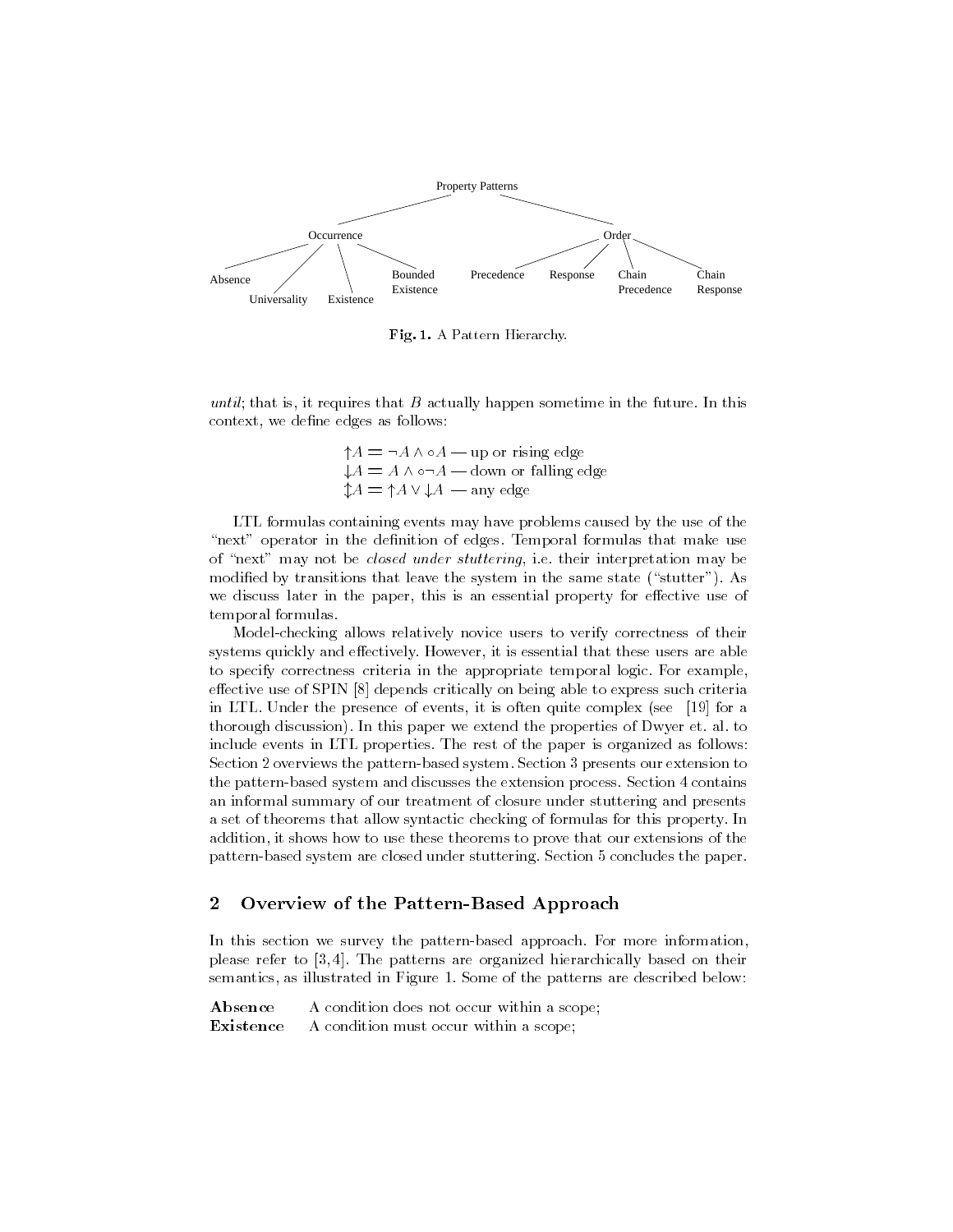

Fig. 1. A Pattern Hierarchy.

until; that is, it requires that  $B$  actually happen sometime in the future. In this context, we define edges as follows:

> $\uparrow A = \neg A \wedge \circ A - \text{up or rising edge}$  $\downarrow$ A = A  $\land$  o $\neg$ A  $-$  down or falling edge  $\uparrow A = \uparrow A \vee \downarrow A$  — any edge

LTL formulas containing events may have problems caused by the use of the "next" operator in the definition of edges. Temporal formulas that make use of "next" may not be *closed under stuttering*, i.e. their interpretation may be modified by transitions that leave the system in the same state ("stutter"). As we discuss later in the paper, this is an essential property for effective use of temporal formulas.

Model-checking allows relatively novice users to verify correctness of their systems quickly and effectively. However, it is essential that these users are able to specify correctness criteria in the appropriate temporal logic. For example, effective use of  $SPIN [8]$  depends critically on being able to express such criteria in LTL. Under the presence of events, it is often quite complex (see [19] for a thorough discussion). In this paper we extend the properties of Dwyer et. al. to include events in LTL properties. The rest of the paper is organized as follows: Section 2 overviews the pattern-based system. Section 3 presents our extension to the pattern-based system and discusses the extension process. Section 4 contains an informal summary of our treatment of closure under stuttering and presents a set of theorems that allow syntactic checking of formulas for this property. In addition, it shows how to use these theorems to prove that our extensions of the pattern-based system are closed under stuttering. Section 5 concludes the paper.

## 2 Overview of the Pattern-Based Approach

In this section we survey the pattern-based approach. For more information, please refer to [3, 4]. The patterns are organized hierarchically based on their semantics, as illustrated in Figure 1. Some of the patterns are described below:

Absence A condition does not occur within a scope; Existence A condition must occur within a scope;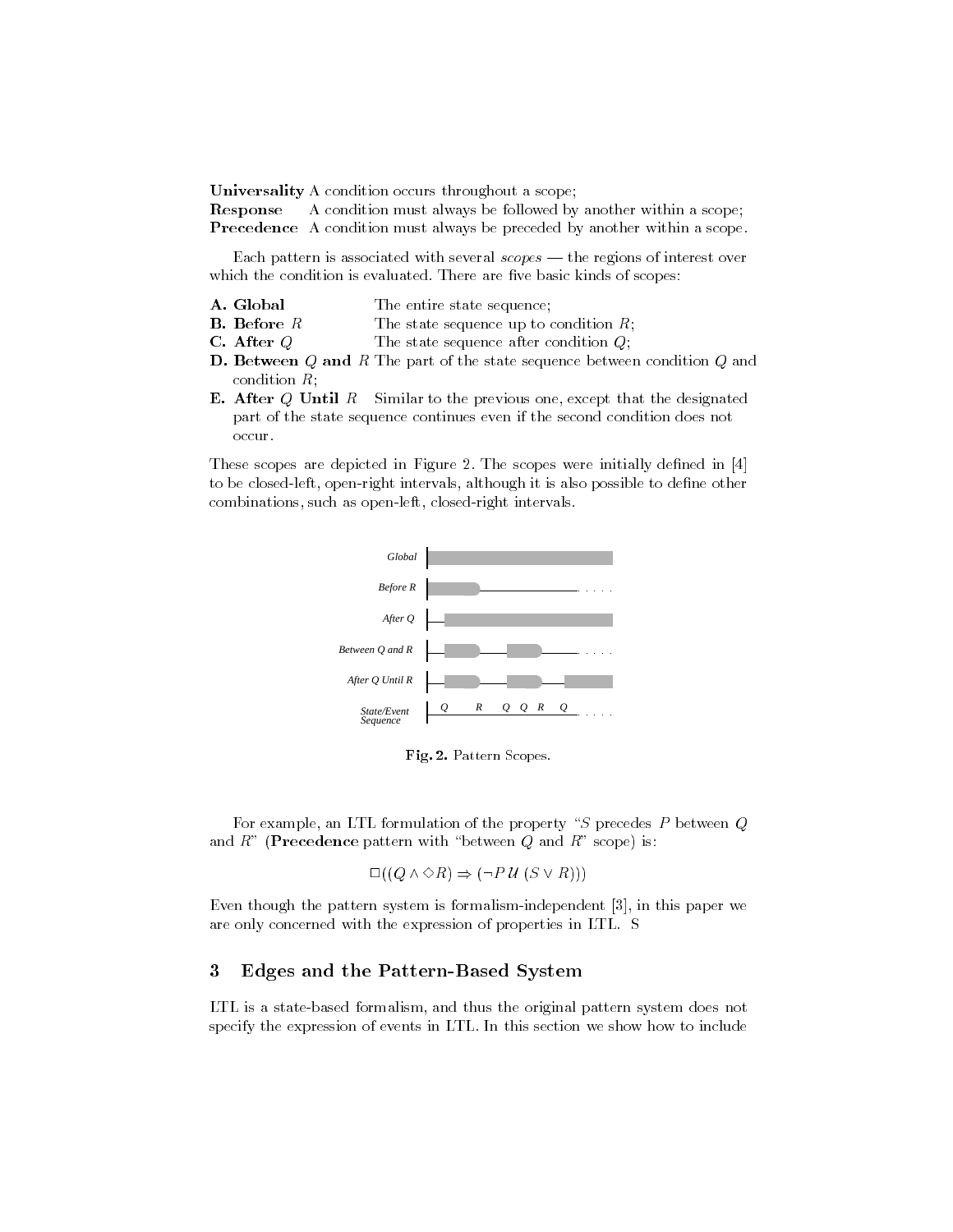Universality A condition occurs throughout a scope;

Response A condition must always be followed by another within a scope; Precedence A condition must always be preceded by another within a scope.

Each pattern is associated with several  $\textit{scopes}$  – the regions of interest over which the condition is evaluated. There are five basic kinds of scopes:

- A. Global The entire state sequence;
- **B.** Before  $R$  The state sequence up to condition  $R$ ;
- C. After Q The state sequence after condition Q;
- D. Between Q and R The part of the state sequence between condition Q and condition R;
- **E.** After Q Until R Similar to the previous one, except that the designated part of the state sequence continues even if the second condition does not occur.

These scopes are depicted in Figure 2. The scopes were initially defined in [4] to be closed-left, open-right intervals, although it is also possible to define other combinations, such as open-left, closed-right intervals.



Fig. 2. Pattern Scopes.

For example, an LTL formulation of the property "S precedes P between  $Q$ and  $R^{\prime\prime}$  (Precedence pattern with "between Q and  $R^{\prime\prime}$  scope) is:

$$
\Box((Q \land \Diamond R) \Rightarrow (\neg P \mathcal{U} (S \lor R)))
$$

Even though the pattern system is formalism-independent [3], in this paper we are only concerned with the expression of properties in LTL. S

# 3 Edges and the Pattern-Based System

LTL is a state-based formalism, and thus the original pattern system does not specify the expression of events in LTL. In this section we show how to include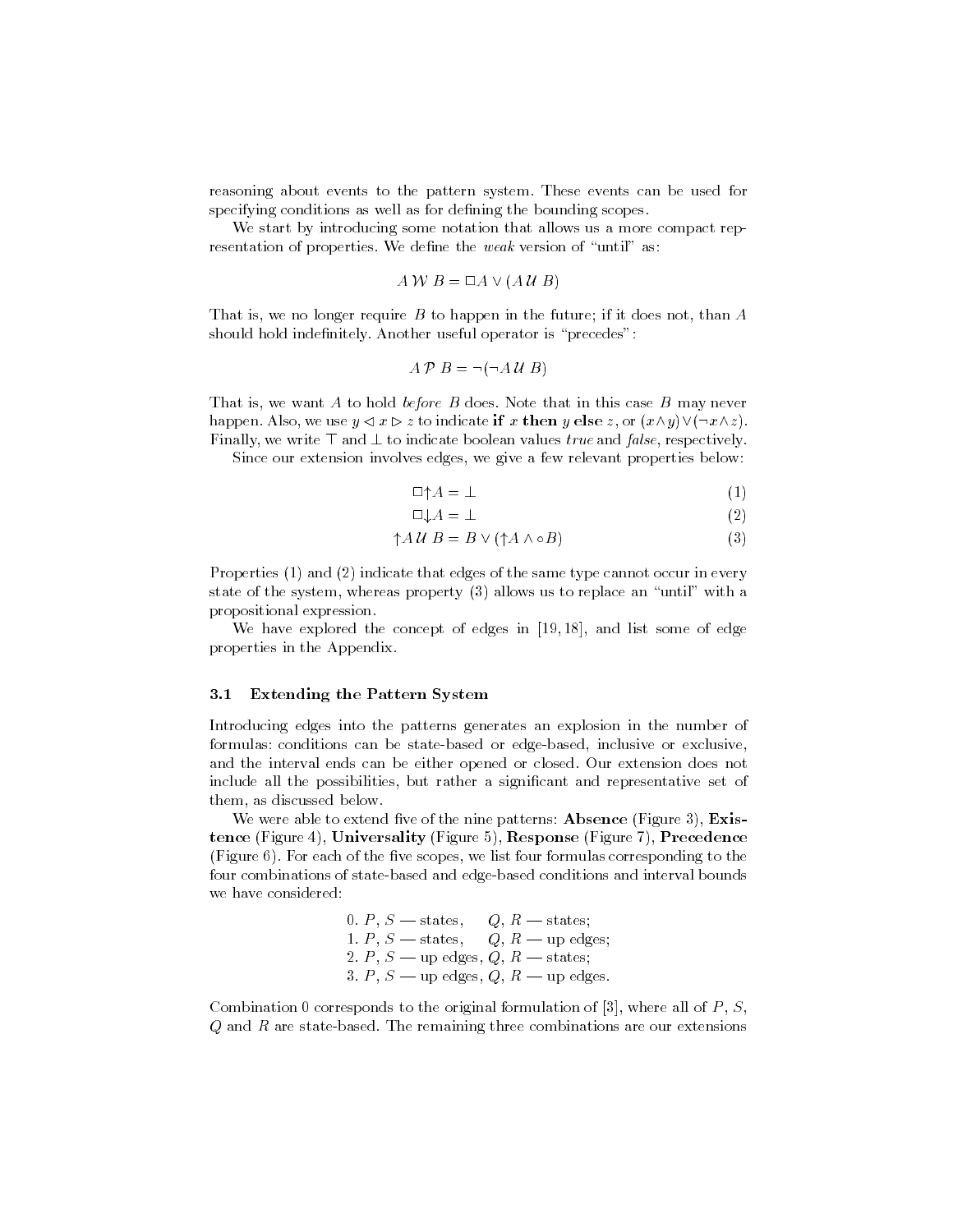reasoning about events to the pattern system. These events can be used for specifying conditions as well as for defining the bounding scopes.

We start by introducing some notation that allows us a more compact representation of properties. We define the *weak* version of "until" as:

$$
A \mathcal{W} B = \Box A \vee (A \mathcal{U} B)
$$

That is, we no longer require  $B$  to happen in the future; if it does not, than  $A$ should hold indefinitely. Another useful operator is "precedes":

$$
A \mathcal{P} B = \neg(\neg A \mathcal{U} B)
$$

That is, we want A to hold before B does. Note that in this case B may never happen. Also, we use  $y \le x \ge z$  to indicate if x then y else z, or  $(x \wedge y) \vee (\neg x \wedge z)$ . Finally, we write  $\top$  and  $\bot$  to indicate boolean values true and false, respectively.

Since our extension involves edges, we give a few relevant properties below:

$$
\Box \uparrow A = \bot \tag{1}
$$

$$
\Box \downarrow A = \bot \tag{2}
$$

$$
\uparrow A \mathcal{U} \ B = B \lor (\uparrow A \land \circ B) \tag{3}
$$

Properties (1) and (2) indicate that edges of the same type cannot occur in every state of the system, whereas property  $(3)$  allows us to replace an "until" with a propositional expression.

We have explored the concept of edges in [19, 18], and list some of edge properties in the Appendix.

#### 3.1 Extending the Pattern System

Introducing edges into the patterns generates an explosion in the number of formulas: conditions can be state-based or edge-based, inclusive or exclusive, and the interval ends can be either opened or closed. Our extension does not include all the possibilities, but rather a significant and representative set of them, as discussed below.

We were able to extend five of the nine patterns: Absence (Figure 3), Existence (Figure 4), Universality (Figure 5), Response (Figure 7), Precedence (Figure  $6$ ). For each of the five scopes, we list four formulas corresponding to the four combinations of state-based and edge-based conditions and interval bounds

> 0. P,  $S$   $-$  states,  $Q, R$   $-$  states; 1. P , S | states, Q, R | up edges; 2. P , S | up edges, Q, R | states; 3. P,  $S$  — up edges,  $Q$ ,  $R$  — up edges.

Combination 0 corresponds to the original formulation of  $[3]$ , where all of P, S,  $Q$  and  $R$  are state-based. The remaining three combinations are our extensions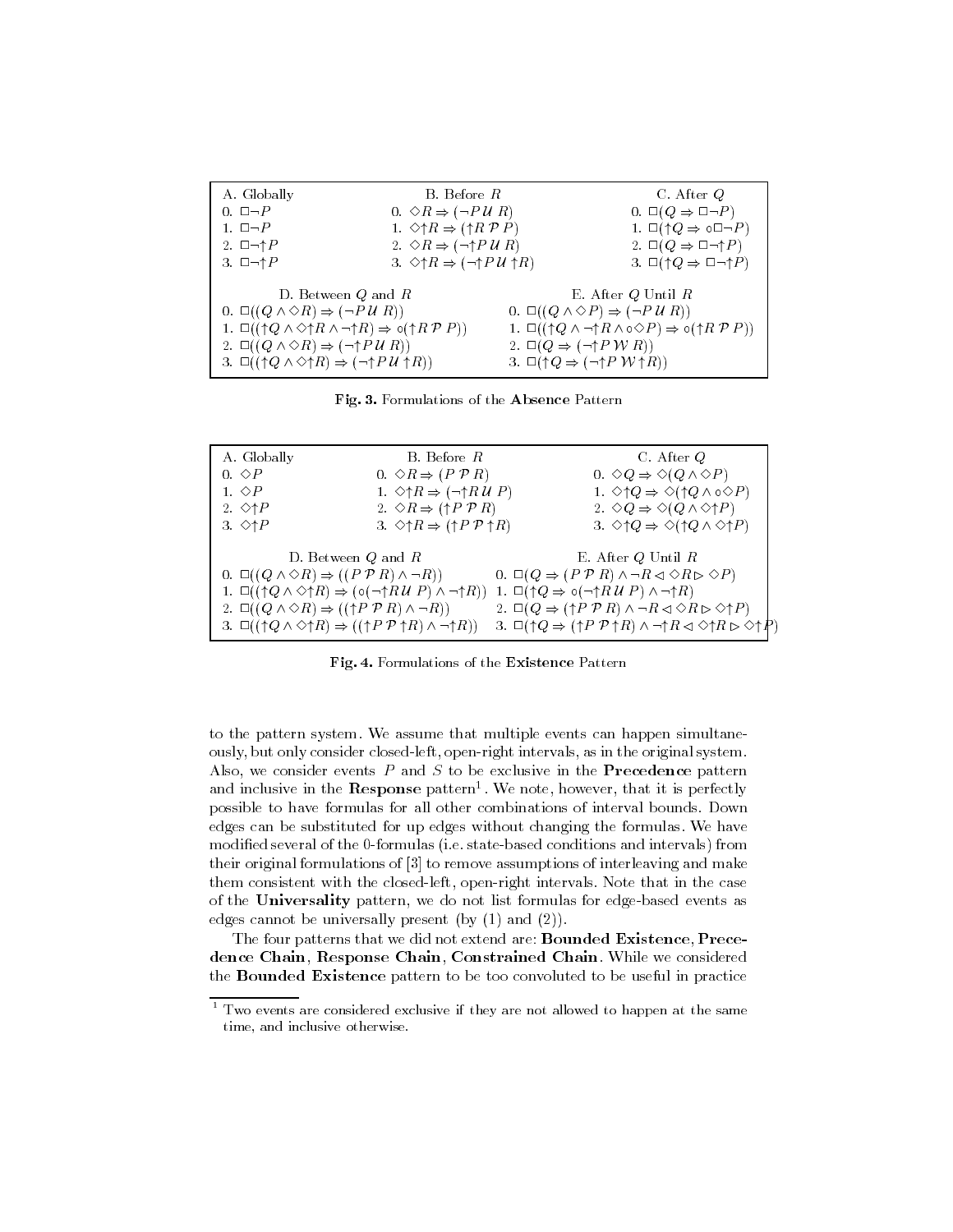| A. Globally                                                                                                                                                                                                                                                                                                                                                                                                     | B. Before R                                                                   |                                                                                                                                        | C. After $Q$                                                                                                                                                                                                        |
|-----------------------------------------------------------------------------------------------------------------------------------------------------------------------------------------------------------------------------------------------------------------------------------------------------------------------------------------------------------------------------------------------------------------|-------------------------------------------------------------------------------|----------------------------------------------------------------------------------------------------------------------------------------|---------------------------------------------------------------------------------------------------------------------------------------------------------------------------------------------------------------------|
| $0. \Box \Box P$                                                                                                                                                                                                                                                                                                                                                                                                | 0. $\Diamond R \Rightarrow (\neg P \mathcal{U} R)$                            |                                                                                                                                        | 0. $\Box(Q \Rightarrow \Box \neg P)$                                                                                                                                                                                |
| 1. $\Box \neg P$                                                                                                                                                                                                                                                                                                                                                                                                | 1. $\Diamond \uparrow R \Rightarrow (\uparrow R \mathcal{P} P)$               |                                                                                                                                        | 1. $\Box(\uparrow Q \Rightarrow \circ \Box \neg P)$                                                                                                                                                                 |
| 2. $\Box \neg \uparrow P$                                                                                                                                                                                                                                                                                                                                                                                       | 2. $\Diamond R \Rightarrow (\neg \uparrow P \mathcal{U} R)$                   |                                                                                                                                        | 2. $\Box(Q \Rightarrow \Box \neg \uparrow P)$                                                                                                                                                                       |
| 3. $\Box \neg \uparrow P$                                                                                                                                                                                                                                                                                                                                                                                       | 3. $\Diamond \uparrow R \Rightarrow (\neg \uparrow P \mathcal{U} \uparrow R)$ |                                                                                                                                        | 3. $\Box(\uparrow Q \Rightarrow \Box \neg \uparrow P)$                                                                                                                                                              |
| D. Between $Q$ and $R$<br>0. $\Box((Q \land \Diamond R) \Rightarrow (\neg P \mathcal{U} R))$<br>1. $\Box((\uparrow Q \wedge \Diamond \uparrow R \wedge \neg \uparrow R) \Rightarrow \circ (\uparrow R \mathcal{P} P))$<br>2. $\Box((Q \land \Diamond R) \Rightarrow (\neg \uparrow P \mathcal{U} R))$<br>3. $\Box((\uparrow Q \land \Diamond \uparrow R) \Rightarrow (\neg \uparrow P \mathcal{U} \uparrow R))$ |                                                                               | 2. $\Box(Q \Rightarrow (\neg \uparrow P \mathcal{W} R))$<br>3. $\Box(\uparrow Q \Rightarrow (\neg \uparrow P \mathcal{W} \uparrow R))$ | E. After $Q$ Until $R$<br>0. $\Box((Q \land \Diamond P) \Rightarrow (\neg P \mathcal{U} R))$<br>1. $\Box((\uparrow Q \wedge \neg \uparrow R \wedge \circ \Diamond P) \Rightarrow \circ (\uparrow R \mathcal{P} P))$ |

Fig. 3. Formulations of the Absence Pattern

| A. Globally                                                                                                                                                                                                 | B. Before R                                                                                                               | C. After $Q$                                                                                                                                           |  |  |
|-------------------------------------------------------------------------------------------------------------------------------------------------------------------------------------------------------------|---------------------------------------------------------------------------------------------------------------------------|--------------------------------------------------------------------------------------------------------------------------------------------------------|--|--|
| 0. $\Diamond P$                                                                                                                                                                                             | 0. $\Diamond R \Rightarrow (P \mathcal{P} R)$                                                                             | 0. $\Diamond Q \Rightarrow \Diamond (Q \land \Diamond P)$                                                                                              |  |  |
| 1. $\Diamond P$                                                                                                                                                                                             | 1. $\Diamond \uparrow R \Rightarrow (\neg \uparrow R \vee P)$                                                             | 1. $\Diamond \uparrow Q \Rightarrow \Diamond (\uparrow Q \land \circ \Diamond P)$                                                                      |  |  |
| 2. $\Diamond \uparrow P$                                                                                                                                                                                    | 2. $\Diamond R \Rightarrow (\uparrow P \mathcal{P} R)$                                                                    | 2. $\Diamond Q \Rightarrow \Diamond (Q \land \Diamond \uparrow P)$                                                                                     |  |  |
| 3. $\Diamond \uparrow P$                                                                                                                                                                                    | 3. $\Diamond \uparrow R \Rightarrow (\uparrow P \mathcal{P} \uparrow R)$                                                  | 3. $\Diamond \uparrow Q \Rightarrow \Diamond (\uparrow Q \land \Diamond \uparrow P)$                                                                   |  |  |
|                                                                                                                                                                                                             | D. Between $Q$ and $R$                                                                                                    | E. After Q Until R                                                                                                                                     |  |  |
| 0. $\Box((Q \land \Diamond R) \Rightarrow ((P \mathcal{P} R) \land \neg R))$                                                                                                                                |                                                                                                                           | 0. $\Box(Q \Rightarrow (P \, P \, R) \land \neg R \triangleleft \Diamond R \triangleright \Diamond P)$                                                 |  |  |
| 1. $\Box((\uparrow Q \land \Diamond \uparrow R) \Rightarrow (\circ (\neg \uparrow R \vee P) \land \neg \uparrow R))$ 1. $\Box(\uparrow Q \Rightarrow \circ (\neg \uparrow R \vee P) \land \neg \uparrow R)$ |                                                                                                                           |                                                                                                                                                        |  |  |
| 2. $\Box((Q \land \Diamond R) \Rightarrow ((\uparrow P \mathcal{P} R) \land \neg R))$                                                                                                                       |                                                                                                                           | 2. $\Box(Q \Rightarrow (\uparrow P \; P \; R) \land \neg R \triangleleft \Diamond R \rhd \Diamond \uparrow P)$                                         |  |  |
|                                                                                                                                                                                                             | 3. $\Box((\uparrow Q \land \Diamond \uparrow R) \Rightarrow ((\uparrow P \mathcal{P} \uparrow R) \land \neg \uparrow R))$ | 3. $\Box(\uparrow Q \Rightarrow (\uparrow P \mathcal{P} \uparrow R) \land \neg \uparrow R \triangleleft \Diamond \uparrow R \rhd \Diamond \uparrow R)$ |  |  |

Fig. 4. Formulations of the Existence Pattern

to the pattern system. We assume that multiple events can happen simultaneously, but only consider closed-left, open-right intervals, as in the original system. Also, we consider events  $P$  and  $S$  to be exclusive in the **Precedence** pattern and inclusive in the **response** pattern twe note, however, that it is perfectly possible to have formulas for all other combinations of interval bounds. Down edges can be substituted for up edges without changing the formulas. We have modied several of the 0-formulas (i.e. state-based conditions and intervals) from their original formulations of [3] to remove assumptions of interleaving and make them consistent with the closed-left, open-right intervals. Note that in the case of the Universality pattern, we do not list formulas for edge-based events as edges cannot be universally present (by (1) and (2)).

The four patterns that we did not extend are: Bounded Existence, Precedence Chain, Response Chain, Constrained Chain. While we considered the Bounded Existence pattern to be too convoluted to be useful in practice

 $^{\circ}$  1 wo events are considered exclusive if they are not allowed to happen at the same time, and inclusive otherwise.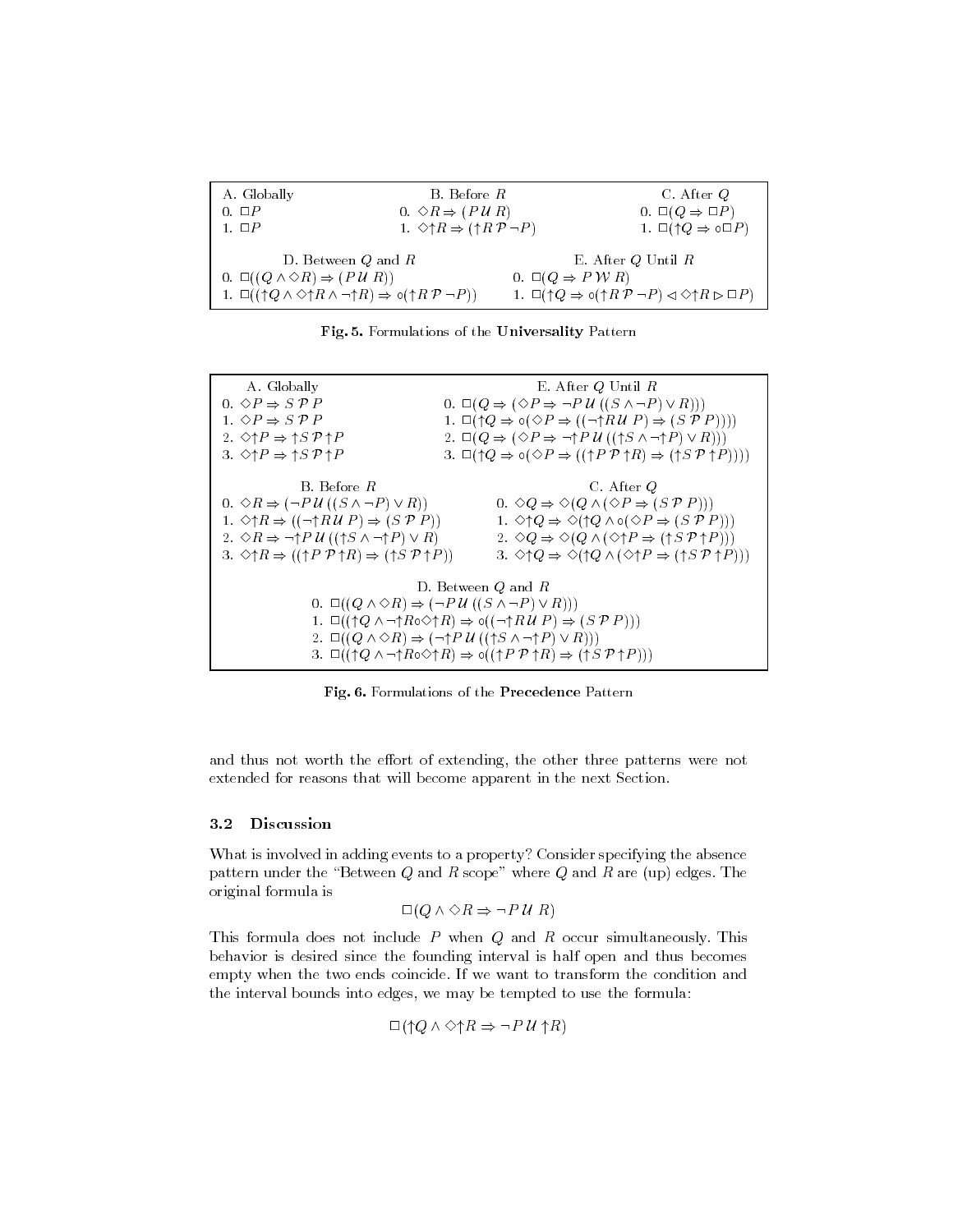| A. Globally                                                                                                                 | B. Before R                                                          |                                                                                                                       | C. After $Q$                                         |
|-----------------------------------------------------------------------------------------------------------------------------|----------------------------------------------------------------------|-----------------------------------------------------------------------------------------------------------------------|------------------------------------------------------|
| $0. \Box P$                                                                                                                 | 0. $\Diamond R \Rightarrow (P \cup R)$                               |                                                                                                                       | 0. $\square(Q \Rightarrow \square P)$                |
| $1. \Box P$                                                                                                                 | 1. $\Diamond \uparrow R \Rightarrow (\uparrow R \mathcal{P} \neg P)$ |                                                                                                                       | 1. $\square(\uparrow Q \Rightarrow \circ \square P)$ |
| D. Between $Q$ and $R$                                                                                                      |                                                                      | E. After $Q$ Until $R$                                                                                                |                                                      |
| 0. $\Box((Q \land \Diamond R) \Rightarrow (P \cup R))$                                                                      |                                                                      | 0. $\Box(Q \Rightarrow P \ W \ R)$                                                                                    |                                                      |
| 1. $\Box((\uparrow Q \wedge \Diamond \uparrow R \wedge \neg \uparrow R) \Rightarrow \circ (\uparrow R \mathcal{P} \neg P))$ |                                                                      | 1. $\Box(\uparrow Q \Rightarrow \circ (\uparrow R \mathcal{P} \neg P) \triangleleft \Diamond \uparrow R \rhd \Box P)$ |                                                      |

| A. Globally                                                                                                                                                                                                                                                                                                                                                                                                                                                                                                                                                                              | E. After $Q$ Until $R$                                                                                                                                         |  |  |  |
|------------------------------------------------------------------------------------------------------------------------------------------------------------------------------------------------------------------------------------------------------------------------------------------------------------------------------------------------------------------------------------------------------------------------------------------------------------------------------------------------------------------------------------------------------------------------------------------|----------------------------------------------------------------------------------------------------------------------------------------------------------------|--|--|--|
| $0. \Diamond P \Rightarrow S \mathcal{P} P$                                                                                                                                                                                                                                                                                                                                                                                                                                                                                                                                              | 0. $\Box(Q \Rightarrow (\Diamond P \Rightarrow \neg P \mathcal{U} ((S \land \neg P) \lor R)))$                                                                 |  |  |  |
| 1. $\Diamond P \Rightarrow S \mathcal{P} P$                                                                                                                                                                                                                                                                                                                                                                                                                                                                                                                                              | 1. $\Box(\uparrow Q \Rightarrow \circ (\Diamond P \Rightarrow ((\neg \uparrow R \vee P) \Rightarrow (S \not P \vee P))))$                                      |  |  |  |
| 2. $\Diamond \uparrow P \Rightarrow \uparrow S \mathcal{P} \uparrow P$                                                                                                                                                                                                                                                                                                                                                                                                                                                                                                                   | 2. $\Box(Q \Rightarrow (\Diamond P \Rightarrow \neg \uparrow P \mathcal{U} \mathcal{U} \mathcal{A} \land \neg \uparrow P \mathcal{V} \mathcal{U} \mathcal{U})$ |  |  |  |
| 3. $\Diamond \uparrow P \Rightarrow \uparrow S \mathcal{P} \uparrow P$                                                                                                                                                                                                                                                                                                                                                                                                                                                                                                                   | 3. $\Box(\uparrow Q \Rightarrow \circ (\Diamond P \Rightarrow ((\uparrow P \mathcal{P} \uparrow R) \Rightarrow (\uparrow S \mathcal{P} \uparrow P))))$         |  |  |  |
| B. Before R                                                                                                                                                                                                                                                                                                                                                                                                                                                                                                                                                                              | C. After $Q$                                                                                                                                                   |  |  |  |
| 0. $\Diamond R \Rightarrow (\neg P \mathcal{U}((S \land \neg P) \lor R))$                                                                                                                                                                                                                                                                                                                                                                                                                                                                                                                | 0. $\Diamond Q \Rightarrow \Diamond (Q \land (\Diamond P \Rightarrow (S \mathcal{P} P)))$                                                                      |  |  |  |
| 1. $\Diamond \uparrow R \Rightarrow ((\neg \uparrow R \vee P) \Rightarrow (S \mathcal{P} P))$                                                                                                                                                                                                                                                                                                                                                                                                                                                                                            | 1. $\Diamond \uparrow Q \Rightarrow \Diamond (\uparrow Q \land \circ (\Diamond P \Rightarrow (S \mathcal{P} P)))$                                              |  |  |  |
| 2. $\Diamond R \Rightarrow \neg \uparrow P \mathcal{U}$ (( $\uparrow S \land \neg \uparrow P$ ) $\vee R$ )                                                                                                                                                                                                                                                                                                                                                                                                                                                                               | 2. $\Diamond Q \Rightarrow \Diamond (Q \land (\Diamond \uparrow P \Rightarrow (\uparrow S \mathcal{P} \uparrow P)))$                                           |  |  |  |
| 3. $\Diamond \uparrow R \Rightarrow ((\uparrow P \mathcal{P} \uparrow R) \Rightarrow (\uparrow S \mathcal{P} \uparrow P))$                                                                                                                                                                                                                                                                                                                                                                                                                                                               | 3. $\Diamond \uparrow Q \Rightarrow \Diamond (\uparrow Q \land (\Diamond \uparrow P \Rightarrow (\uparrow S \mathcal{P} \uparrow P)))$                         |  |  |  |
| D. Between $Q$ and $R$<br>0. $\Box ((Q \land \Diamond R) \Rightarrow (\neg P \mathcal{U} ((S \land \neg P) \lor R)))$<br>1. $\Box((\uparrow Q \wedge \neg \uparrow R \circ \Diamond \uparrow R) \Rightarrow \circ ((\neg \uparrow R \vee P) \Rightarrow (S \mathcal{P} P)))$<br>2. $\Box((Q \land \Diamond R) \Rightarrow (\neg \uparrow P \mathcal{U}((\uparrow S \land \neg \uparrow P) \lor R)))$<br>3. $\Box((\uparrow Q \wedge \neg \uparrow R \circ \Diamond \uparrow R) \Rightarrow \circ ((\uparrow P \mathcal{P} \uparrow R) \Rightarrow (\uparrow S \mathcal{P} \uparrow P)))$ |                                                                                                                                                                |  |  |  |

Fig. 6. Formulations of the Precedence Pattern

and thus not worth the effort of extending, the other three patterns were not extended for reasons that will become apparent in the next Section.

## 3.2 Discussion

What is involved in adding events to a property? Consider specifying the absence pattern under the "Between  $Q$  and  $R$  scope" where  $Q$  and  $R$  are (up) edges. The original formula is

$$
\Box(Q \land \Diamond R \Rightarrow \neg P \mathcal{U} R)
$$

This formula does not include  $P$  when  $Q$  and  $R$  occur simultaneously. This behavior is desired since the founding interval is half open and thus becomes empty when the two ends coincide. If we want to transform the condition and the interval bounds into edges, we may be tempted to use the formula:

$$
\Box(\uparrow Q \land \Diamond \uparrow R \Rightarrow \neg P \mathcal{U} \uparrow R)
$$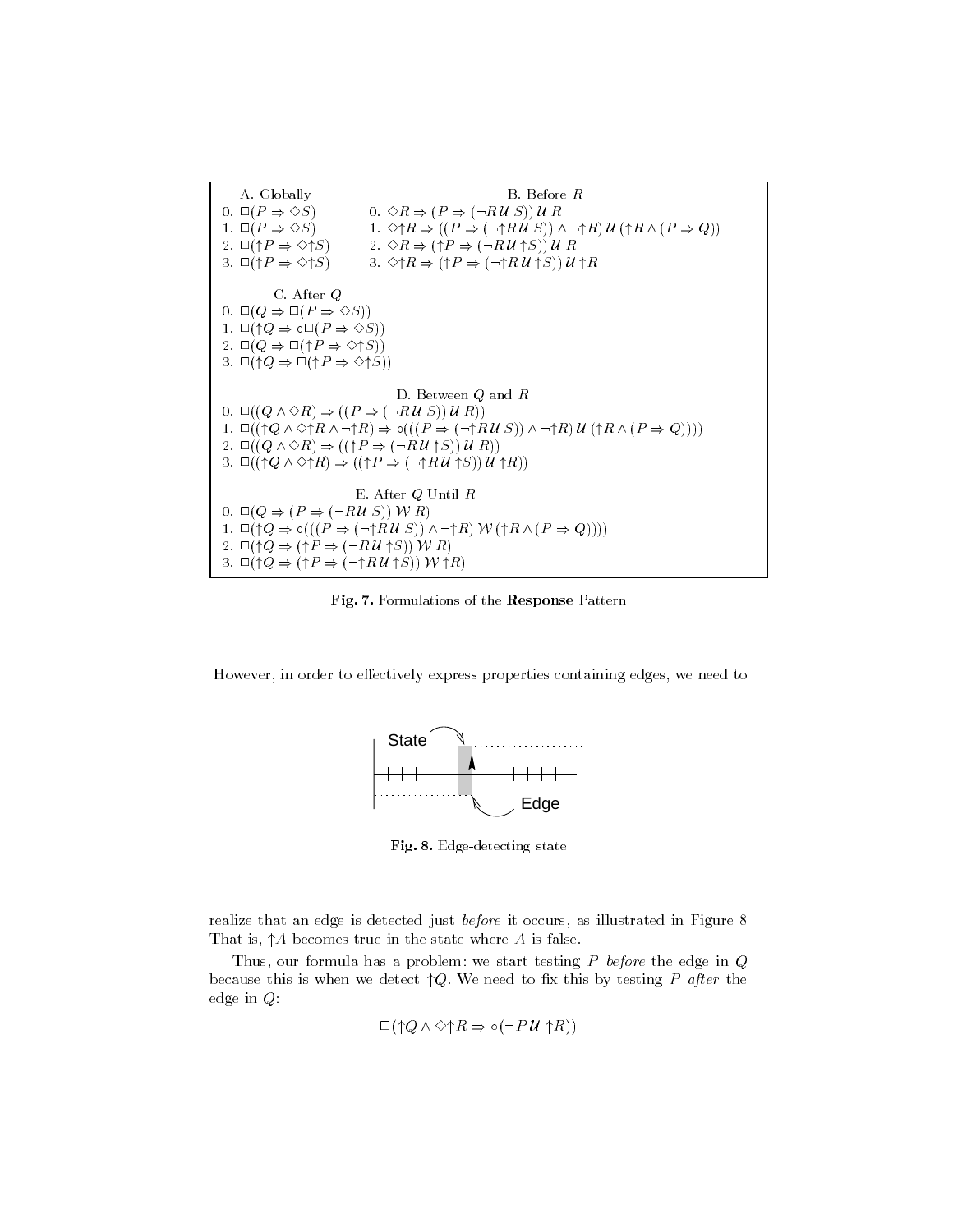

Fig. 7. Formulations of the Response Pattern

However, in order to effectively express properties containing edges, we need to



Fig. 8. Edge-detecting state

realize that an edge is detected just before it occurs, as illustrated in Figure 8 That is,  $\uparrow$  A becomes true in the state where A is false.

Thus, our formula has a problem: we start testing  $P$  before the edge in  $Q$ because this is when we detect  $\uparrow Q$ . We need to fix this by testing P after the edge in Q:

$$
\Box(\uparrow Q \wedge \Diamond \uparrow R \Rightarrow \circ (\neg P \mathcal{U} \uparrow R))
$$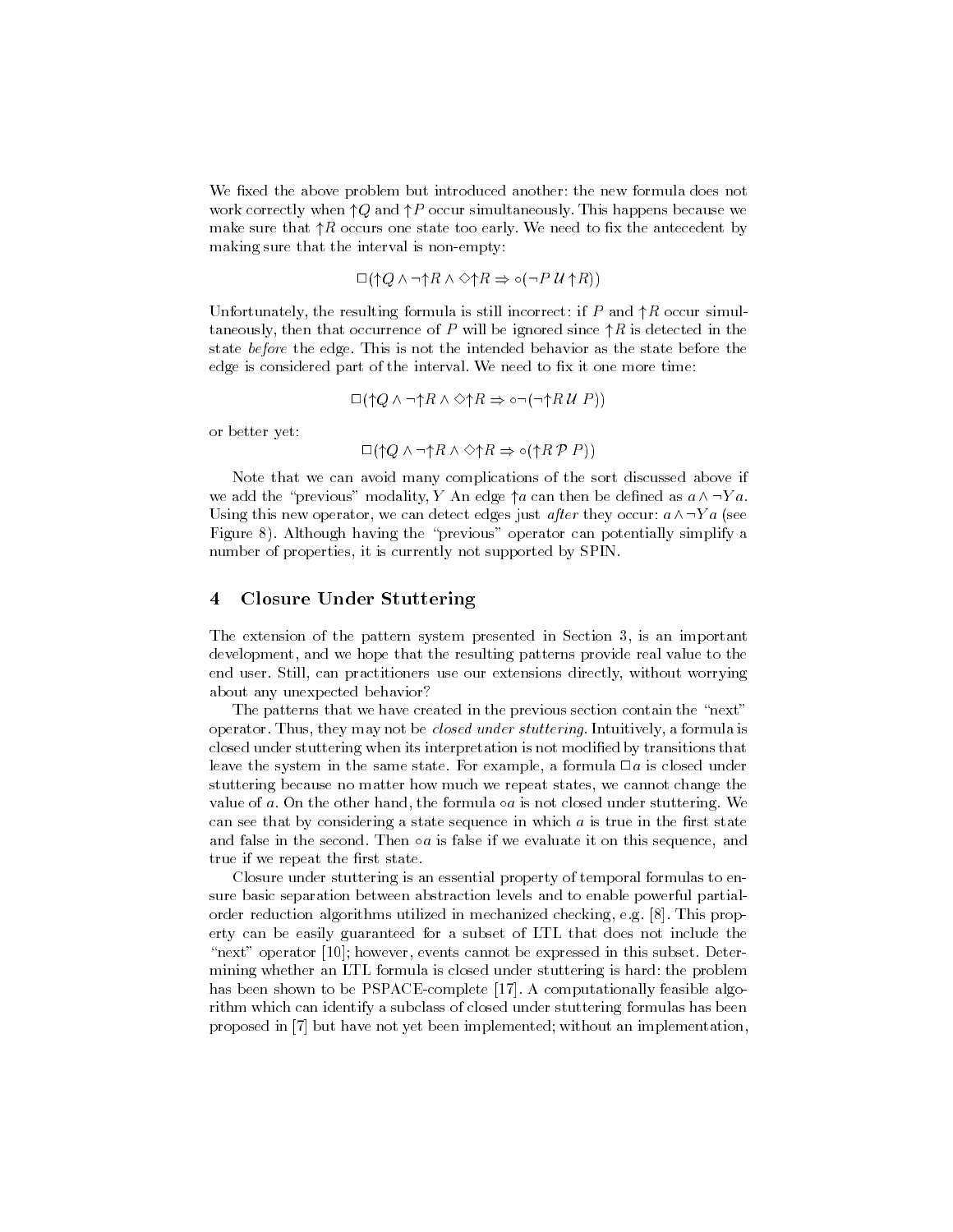We fixed the above problem but introduced another: the new formula does not work correctly when  $\uparrow Q$  and  $\uparrow P$  occur simultaneously. This happens because we make sure that  $\uparrow$ R occurs one state too early. We need to fix the antecedent by making sure that the interval is non-empty:

$$
\Box(\uparrow Q \wedge \neg \uparrow R \wedge \Diamond \uparrow R \Rightarrow \circ (\neg P \mathcal{U} \uparrow R))
$$

Unfortunately, the resulting formula is still incorrect: if P and  $\uparrow R$  occur simultaneously, then that occurrence of P will be ignored since  $\uparrow R$  is detected in the state before the edge. This is not the intended behavior as the state before the edge is considered part of the interval. We need to fix it one more time:

$$
\Box(\uparrow Q \wedge \neg \uparrow R \wedge \Diamond \uparrow R \Rightarrow \circ \neg (\neg \uparrow R U P))
$$

or better yet:

$$
\Box(\uparrow Q \wedge \neg \uparrow R \wedge \Diamond \uparrow R \Rightarrow \circ (\uparrow R \mathcal{P} P))
$$

Note that we can avoid many complications of the sort discussed above if we add the "previous" modality, Y An edge  $\uparrow a$  can then be defined as  $a \wedge \neg Ya$ . Using this new operator, we can detect edges just after they occur:  $a \wedge \neg Ya$  (see Figure 8). Although having the "previous" operator can potentially simplify a number of properties, it is currently not supported by SPIN.

#### $\overline{\mathbf{4}}$ Closure Under Stuttering

The extension of the pattern system presented in Section 3, is an important development, and we hope that the resulting patterns provide real value to the end user. Still, can practitioners use our extensions directly, without worrying about any unexpected behavior?

The patterns that we have created in the previous section contain the "next" operator. Thus, they may not be closed under stuttering. Intuitively, a formula is closed under stuttering when its interpretation is not modied by transitions that leave the system in the same state. For example, a formula  $\Box a$  is closed under stuttering because no matter how much we repeat states, we cannot change the value of  $a$ . On the other hand, the formula  $\circ a$  is not closed under stuttering. We can see that by considering a state sequence in which  $a$  is true in the first state and false in the second. Then  $\circ a$  is false if we evaluate it on this sequence, and true if we repeat the first state.

Closure under stuttering is an essential property of temporal formulas to ensure basic separation between abstraction levels and to enable powerful partialorder reduction algorithms utilized in mechanized checking, e.g. [8]. This property can be easily guaranteed for a subset of LTL that does not include the " $next"$  operator [10]; however, events cannot be expressed in this subset. Determining whether an LTL formula is closed under stuttering is hard: the problem has been shown to be PSPACE-complete [17]. A computationally feasible algorithm which can identify a subclass of closed under stuttering formulas has been proposed in [7] but have not yet been implemented; without an implementation,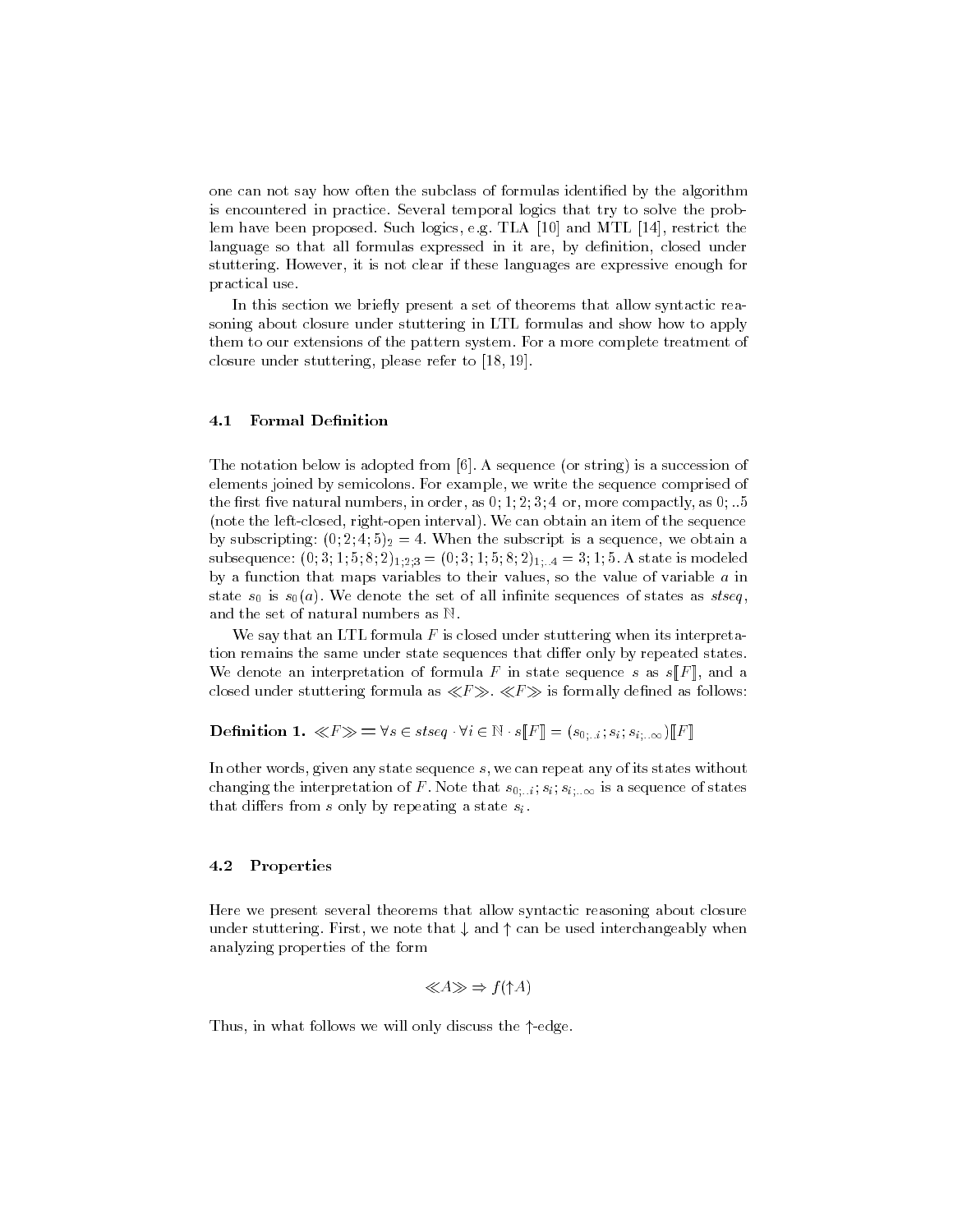one can not say how often the subclass of formulas identied by the algorithm is encountered in practice. Several temporal logics that try to solve the problem have been proposed. Such logics, e.g. TLA [10] and MTL [14], restrict the language so that all formulas expressed in it are, by definition, closed under stuttering. However, it is not clear if these languages are expressive enough for practical use.

In this section we briefly present a set of theorems that allow syntactic reasoning about closure under stuttering in LTL formulas and show how to apply them to our extensions of the pattern system. For a more complete treatment of closure under stuttering, please refer to [18, 19].

### 4.1 Formal Definition

The notation below is adopted from [6]. A sequence (or string) is a succession of elements joined by semicolons. For example, we write the sequence comprised of the first five natural numbers, in order, as  $0; 1; 2; 3; 4$  or, more compactly, as  $0; \dots 5$ (note the left-closed, right-open interval). We can obtain an item of the sequence by subscripting:  $(0; 2; 4; 5)_2 = 4$ . When the subscript is a sequence, we obtain a subsequence:  $(0; 3; 1; 5; 8; 2)_{1;2;3} = (0; 3; 1; 5; 8; 2)_{1;3} = 3; 1; 5$ . A state is modeled by a function that maps variables to their values, so the value of variable a in state  $s_0$  is  $s_0(a)$ . We denote the set of all infinite sequences of states as stseq, and the set of natural numbers as N.

We say that an LTL formula  $F$  is closed under stuttering when its interpretation remains the same under state sequences that differ only by repeated states. We denote an interpretation of formula F in state sequence s as  $s||F||$ , and a closed under stuttering formula as  $\ll F \gg \ll F \gg$  is formally defined as follows:

Definition 1.  $\ll F \gg \; = \forall s \in \mathit{stseq} \cdot \forall i \in \mathbb{N} \cdot s[F] = (s_{0...i}; s_i; s_{i...},\infty)[F]$ 

In other words, given any state sequence s, we can repeat any of its states without changing the interpretation of F. Note that  $s_{0;1}$ ,  $s_i$ ,  $s_{i;1}$  is a sequence of states that differs from s only by repeating a state  $s_i$ .

### 4.2 Properties

Here we present several theorems that allow syntactic reasoning about closure under stuttering. First, we note that  $\downarrow$  and  $\uparrow$  can be used interchangeably when analyzing properties of the form

$$
\ll A \gg \Rightarrow f(\uparrow A)
$$

Thus, in what follows we will only discuss the  $\uparrow$ -edge.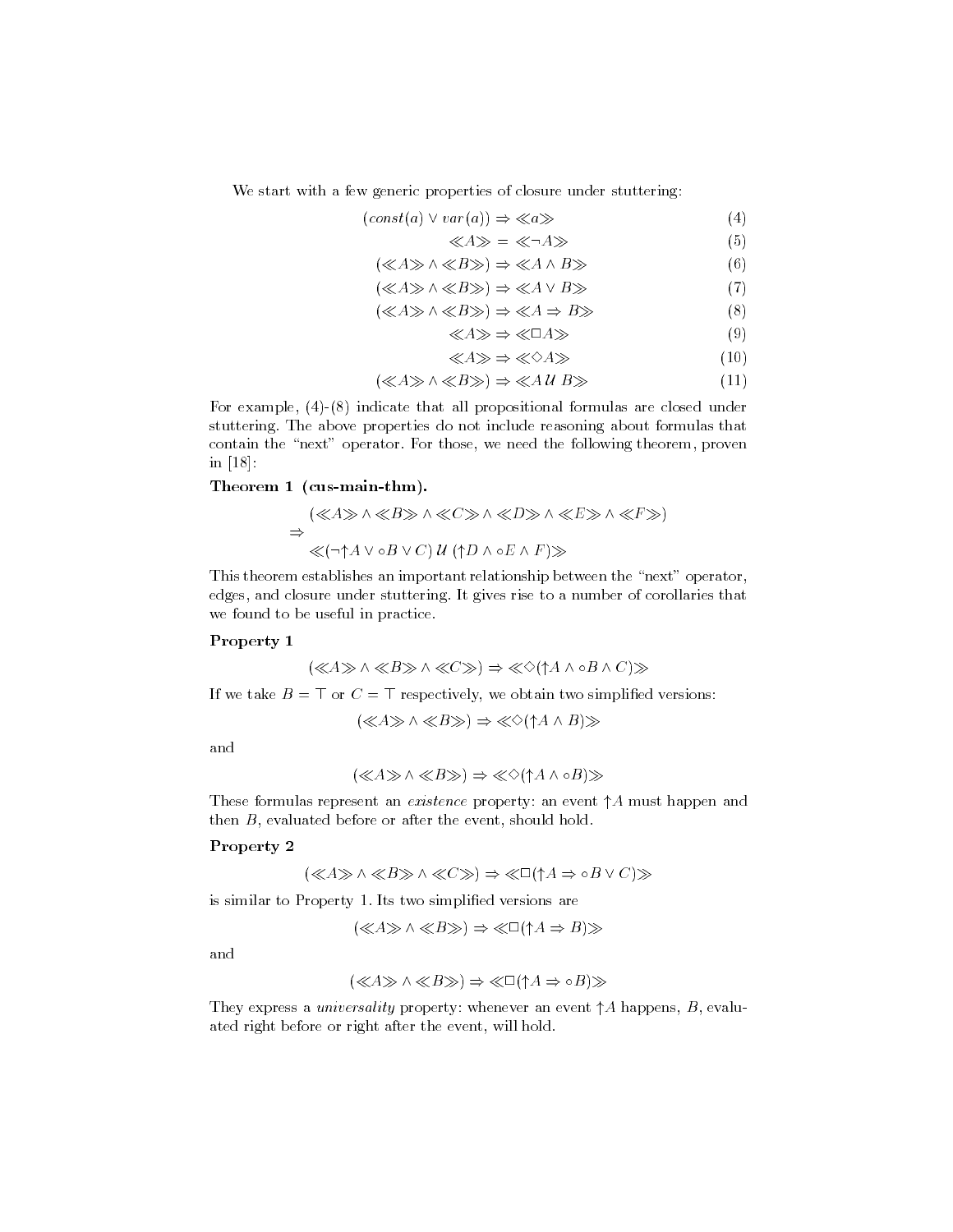We start with a few generic properties of closure under stuttering:

$$
(\text{const}(a) \lor \text{var}(a)) \Rightarrow \ll a \gg \tag{4}
$$

$$
\langle \langle A \rangle \rangle = \langle \langle \neg A \rangle \rangle \tag{5}
$$

$$
(\ll A \gg \land \ll B \gg) \Rightarrow \ll A \land B \gg \tag{6}
$$

$$
(\ll A \gg \land \ll B \gg) \Rightarrow \ll A \lor B \gg \tag{7}
$$

$$
(\ll A \gg \land \ll B \gg) \Rightarrow \ll A \Rightarrow B \gg \tag{8}
$$

$$
\langle A \rangle \Rightarrow \langle \Box A \rangle \tag{9}
$$

$$
\langle\!\langle A \rangle\!\rangle \Rightarrow \langle\!\langle \diamond A \rangle\!\rangle \tag{10}
$$

$$
(\ll A \gg \land \ll B \gg) \Rightarrow \ll A \, U \, B \gg \tag{11}
$$

For example, (4)-(8) indicate that all propositional formulas are closed under stuttering. The above properties do not include reasoning about formulas that contain the "next" operator. For those, we need the following theorem, proven in [18]:

# Theorem 1 (cus-main-thm).

$$
(\ll A \gg \land \ll B \gg \land \ll C \gg \land \ll D \gg \land \ll E \gg \land \ll F \gg)
$$
  
\n
$$
\Rightarrow \ll (\neg \uparrow A \lor \circ B \lor C) \lor (\uparrow D \land \circ E \land F) \gg
$$

This theorem establishes an important relationship between the "next" operator, edges, and closure under stuttering. It gives rise to a number of corollaries that we found to be useful in practice.

# Property 1

$$
(\ll\!A\!\gg\,\wedge\,\ll\!B\!\gg\,\wedge\,\ll\!C\!\gg)\Rightarrow\ll\Diamond(\uparrow\!A\wedge\circ B\wedge C)\!\gg
$$

If we take  $B = \top$  or  $C = \top$  respectively, we obtain two simplified versions:

$$
(\ll A \gg \land \ll B \gg) \Rightarrow \ll \Diamond (\uparrow A \land B) \gg
$$

and

$$
(\ll A \gg \land \ll B \gg) \Rightarrow \ll \Diamond (\uparrow A \land \circ B) \gg
$$

These formulas represent an *existence* property: an event  $\uparrow$ A must happen and then B, evaluated before or after the event, should hold.

# Property 2

$$
(\ll A \gg \land \ll B \gg \land \ll C \gg) \Rightarrow \ll \Box(\uparrow A \Rightarrow \circ B \lor C) \gg
$$

is similar to Property 1. Its two simplied versions are

$$
(\ll A \gg \land \ll B \gg) \Rightarrow \ll \Box (\uparrow A \Rightarrow B) \gg
$$

and

$$
(\ll\!A\!\gg\wedge\ll\!B\!\gg)\Rightarrow\ll\!\Box(\uparrow\!A\Rightarrow\circ B)\!\gg
$$

They express a *universality* property: whenever an event  $\uparrow A$  happens, B, evaluated right before or right after the event, will hold.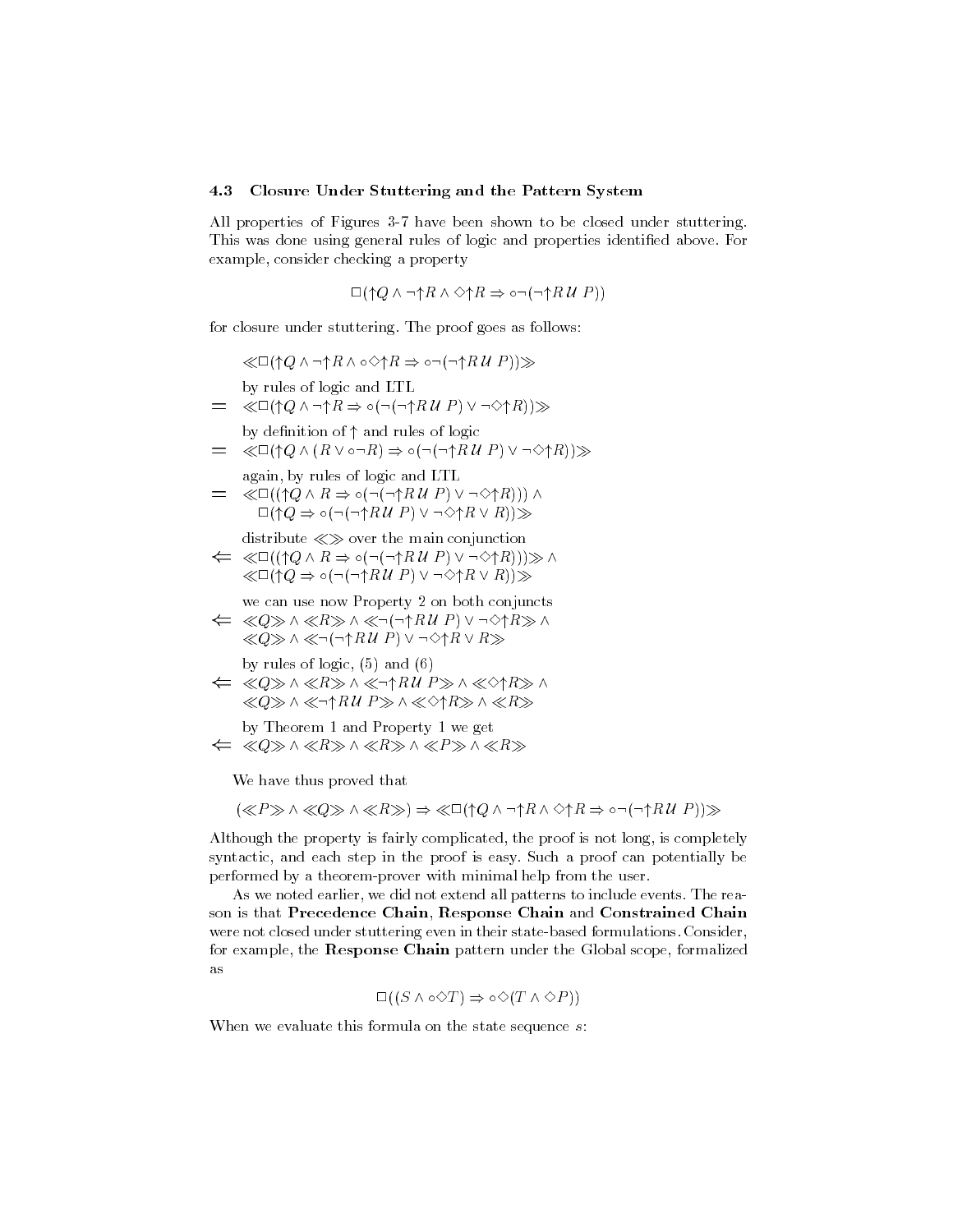### 4.3 Closure Under Stuttering and the Pattern System

All properties of Figures 3-7 have been shown to be closed under stuttering. This was done using general rules of logic and properties identified above. For example, consider checking a property

$$
\Box(\uparrow Q \wedge \neg \uparrow R \wedge \Diamond \uparrow R \Rightarrow \circ \neg (\neg \uparrow R \vee P))
$$

for closure under stuttering. The proof goes as follows:

 $\ll$   $\Box$  (†Q  $\land \neg \uparrow R \land \circ \Diamond \uparrow R \Rightarrow \circ \neg (\neg \uparrow R \cup P)$ ) $\gg$ by rules of logic and LTL  $= \langle \langle \square (\uparrow Q \wedge \neg \uparrow R \Rightarrow \circ (\neg (\neg \uparrow R U P) \vee \neg \Diamond \uparrow R)) \rangle$ by definition of  $\uparrow$  and rules of logic  $= \langle \langle \Box (\dag Q \wedge (R \vee \circ \neg R) \Rightarrow \circ (\neg (\neg \dag R \vee P) \vee \neg \Diamond \dag R) \rangle \rangle$ again, by rules of logic and LTL  $\ll\Box((\uparrow Q\wedge R\Rightarrow \circ (\neg(\neg \uparrow R\vee P)\vee \neg \Diamond \uparrow R)))\wedge$  $\Box(\uparrow Q \Rightarrow \circ (\neg (\neg \uparrow R \vee P) \vee \neg \Diamond \uparrow R \vee R)) \gg$ distribute  $\ll \gg$  over the main conjunction  $\Leftarrow \ll \Box((\uparrow Q \land R \Rightarrow \circ (\neg (\neg \uparrow R \lor P) \lor \neg \Diamond \uparrow R))) \gg \land$  $\ll \Box (\uparrow Q \Rightarrow \circ (\neg (\neg \uparrow R \vee P) \vee \neg \Diamond \uparrow R \vee R)) \gg$ we can use now Property 2 on both conjuncts  $\Leftrightarrow \langle Q \rangle \rangle \wedge \langle R \rangle \rangle \wedge \langle \langle \neg (\neg \uparrow R U P) \vee \neg \Diamond \uparrow R \rangle \rangle \wedge$  $\langle \langle Q \rangle \rangle \wedge \langle \langle \neg \cap R \, U \rangle P$   $\vee \neg \Diamond \cap R \vee R \rangle$ by rules of logic, (5) and (6)  $\Leftarrow\ \ \ll Q\!\gg\wedge\ \ll\! R\!\gg\wedge\ \ll\!\lnot\uparrow\! R\,\mathcal{U}\,\,P\!\gg\wedge\ \ll\!\lozenge\!\uparrow\! R\!\gg\wedge$  $\langle \ll Q \gg \land \ll \neg \!\uparrow\! R\,\mathcal{U} \; P\!\gg \land \ll\varnothing \!\uparrow\! R\!\gg \land \ll\! R\!\gg$ by Theorem 1 and Property 1 we get  $\Leftarrow \ll\!\!Q\!\gg\! \wedge \ll\!\!R\!\! \gg \wedge \ll\!\!R\!\gg\! \wedge \ll\!\!P\!\gg\! \wedge \ll\!\!R\!\gg$ 

We have thus proved that

$$
(\ll P \gg \land \ll Q \gg \land \ll R \gg) \Rightarrow \ll \Box(\uparrow Q \land \neg \uparrow R \land \Diamond \uparrow R \Rightarrow \circ \neg (\neg \uparrow R \lor P)) \gg
$$

Although the property is fairly complicated, the proof is not long, is completely syntactic, and each step in the proof is easy. Such a proof can potentially be performed by a theorem-prover with minimal help from the user.

As we noted earlier, we did not extend all patterns to include events. The reason is that Precedence Chain, Response Chain and Constrained Chain were not closed under stuttering even in their state-based formulations. Consider, for example, the Response Chain pattern under the Global scope, formalized as

 $\Box ((S \land \circ \Diamond T) \Rightarrow \circ \Diamond (T \land \Diamond P))$ 

When we evaluate this formula on the state sequence s: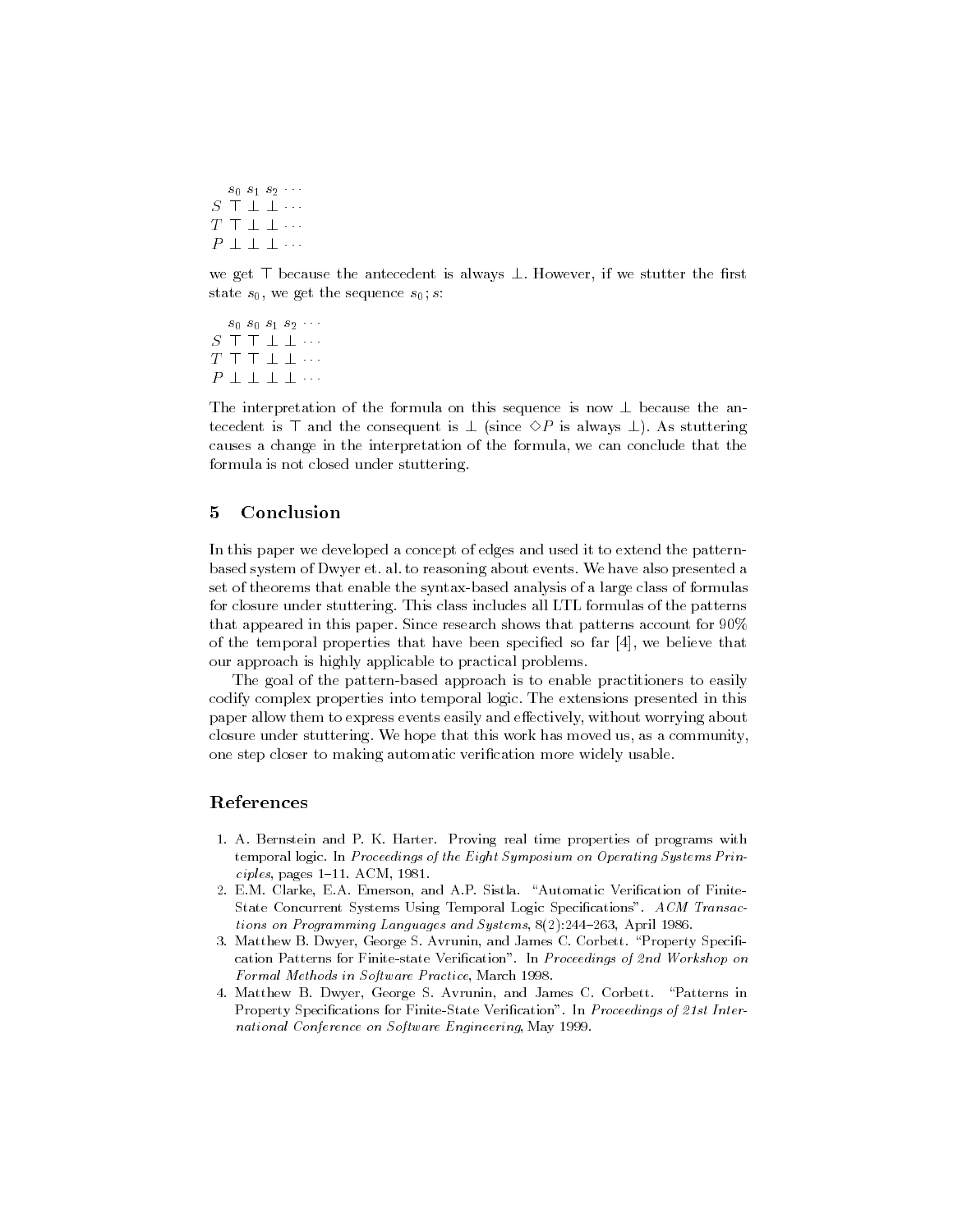$s_0$   $s_1$   $s_2$   $\cdots$  $S$  T  $\perp$   $\perp$   $\cdots$  $T T \perp \perp \cdots$  $P \perp \perp \perp \cdots$ 

we get  $\top$  because the antecedent is always  $\bot$ . However, if we stutter the first state  $s_0$ , we get the sequence  $s_0$ ; s:

 $s_0$   $s_0$   $s_1$   $s_2$   $\cdots$  $S$  T T  $\perp$   $\perp$   $\cdots$  $T$  T T  $\perp$   $\perp$   $\cdots$  $P \perp \perp \perp \perp \cdots$ 

The interpretation of the formula on this sequence is now  $\perp$  because the antecedent is  $\top$  and the consequent is  $\bot$  (since  $\Diamond P$  is always  $\bot$ ). As stuttering causes a change in the interpretation of the formula, we can conclude that the formula is not closed under stuttering.

#### $\overline{5}$ **Conclusion**

In this paper we developed a concept of edges and used it to extend the patternbased system of Dwyer et. al. to reasoning about events. We have also presented a set of theorems that enable the syntax-based analysis of a large class of formulas for closure under stuttering. This class includes all LTL formulas of the patterns that appeared in this paper. Since research shows that patterns account for 90% of the temporal properties that have been specied so far [4], we believe that our approach is highly applicable to practical problems.

The goal of the pattern-based approach is to enable practitioners to easily codify complex properties into temporal logic. The extensions presented in this paper allow them to express events easily and effectively, without worrying about closure under stuttering. We hope that this work has moved us, as a community, one step closer to making automatic verication more widely usable.

# References

- 1. A. Bernstein and P. K. Harter. Proving real time properties of programs with temporal logic. In Proceedings of the Eight Symposium on Operating Systems Prin $ciples, pages 1–11. ACM, 1981.$
- 2. E.M. Clarke, E.A. Emerson, and A.P. Sistla. "Automatic Verification of Finite-State Concurrent Systems Using Temporal Logic Specifications". ACM Transactions on Programming Languages and Systems,  $8(2):244-263$ , April 1986.
- 3. Matthew B. Dwyer, George S. Avrunin, and James C. Corbett. "Property Specification Patterns for Finite-state Verification". In Proceedings of 2nd Workshop on Formal Methods in Software Practice, March 1998.
- 4. Matthew B. Dwyer, George S. Avrunin, and James C. Corbett. \Patterns in Property Specifications for Finite-State Verification". In Proceedings of 21st International Conference on Software Engineering, May 1999.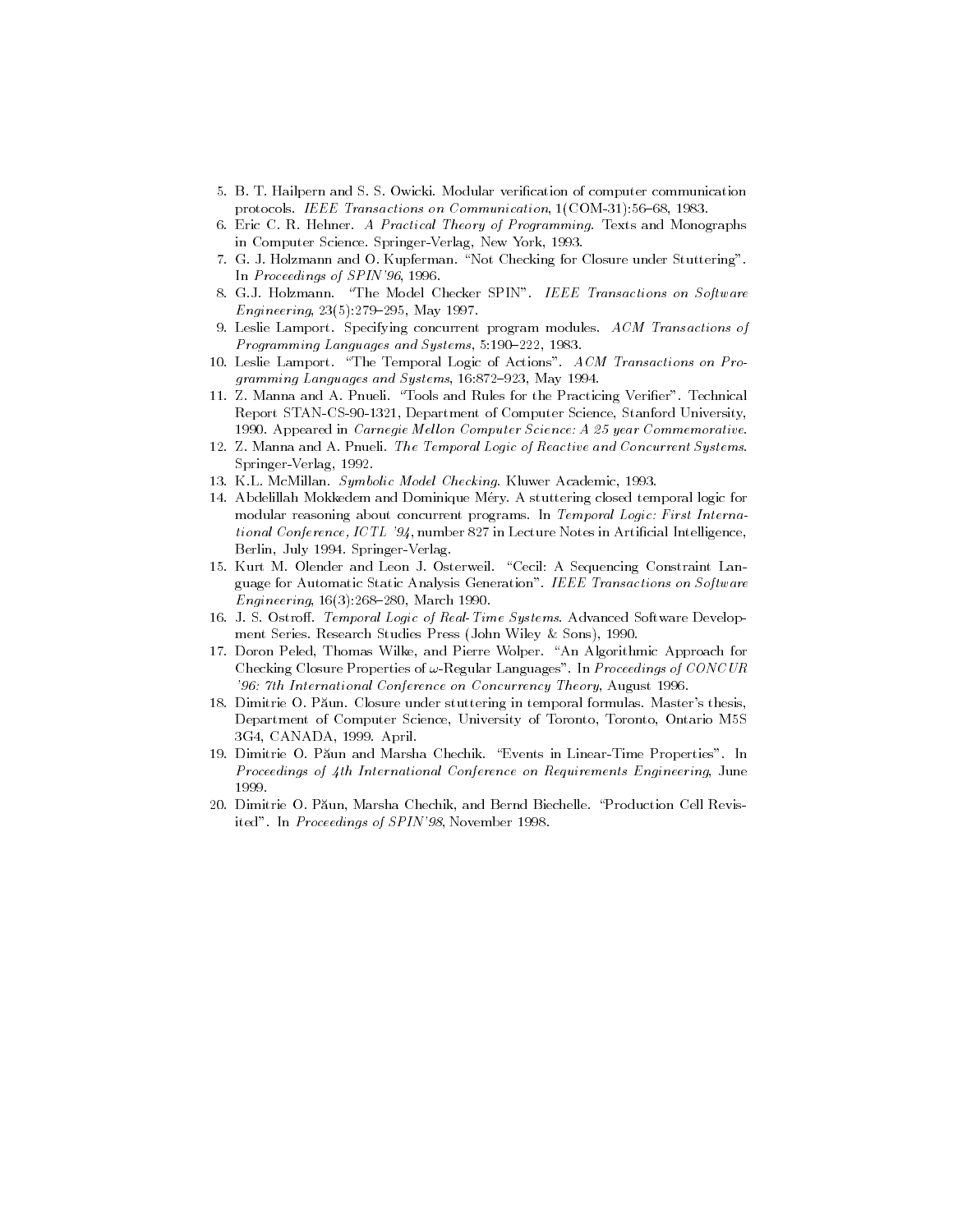- 5. B. T. Hailpern and S. S. Owicki. Modular verication of computer communication protocols. IEEE Transactions on Communication,  $1(COM-31)$ :56-68, 1983.
- 6. Eric C. R. Hehner. A Practical Theory of Programming. Texts and Monographs in Computer Science. Springer-Verlag, New York, 1993.
- 7. G. J. Holzmann and O. Kupferman. "Not Checking for Closure under Stuttering". In Proceedings of SPIN'96, 1996.
- 8. G.J. Holzmann. "The Model Checker SPIN". IEEE Transactions on Software Engineering,  $23(5):279{-}295$ , May 1997.
- 9. Leslie Lamport. Specifying concurrent program modules. ACM Transactions of Programming Languages and Systems,  $5:190-222$ , 1983.
- 10. Leslie Lamport. "The Temporal Logic of Actions". ACM Transactions on Programming Languages and Systems, 16:872-923, May 1994.
- 11. Z. Manna and A. Pnueli. "Tools and Rules for the Practicing Verifier". Technical Report STAN-CS-90-1321, Department of Computer Science, Stanford University, 1990. Appeared in Carnegie Mellon Computer Science: A 25 year Commemorative.
- 12. Z. Manna and A. Pnueli. The Temporal Logic of Reactive and Concurrent Systems. Springer-Verlag, 1992.
- 13. K.L. McMillan. Symbolic Model Checking. Kluwer Academic, 1993.
- 14. Abdelillah Mokkedem and Dominique Mery. A stuttering closed temporal logic for modular reasoning about concurrent programs. In Temporal Logic: First International Conference, ICTL '94, number 827 in Lecture Notes in Articial Intelligence, Berlin, July 1994. Springer-Verlag.
- 15. Kurt M. Olender and Leon J. Osterweil. \Cecil: A Sequencing Constraint Language for Automatic Static Analysis Generation". IEEE Transactions on Software  $Engineering, 16(3):268-280, March 1990.$
- 16. J. S. Ostroff. Temporal Logic of Real-Time Systems. Advanced Software Development Series. Research Studies Press (John Wiley & Sons), 1990.
- 17. Doron Peled, Thomas Wilke, and Pierre Wolper. "An Algorithmic Approach for Checking Closure Properties of  $\omega$ -Regular Languages". In *Proceedings of CONCUR* '96: 7th International Conference on Concurrency Theory, August 1996.
- 18. Dimitrie O. Paun. Closure under stuttering in temporal formulas. Master's thesis, Department of Computer Science, University of Toronto, Toronto, Ontario M5S 3G4, CANADA, 1999. April.
- 19. Dimitrie O. Păun and Marsha Chechik. "Events in Linear-Time Properties". In Proceedings of 4th International Conference on Requirements Engineering, June 1999
- 20. Dimitrie O. Păun, Marsha Chechik, and Bernd Biechelle. "Production Cell Revisited". In Proceedings of SPIN'98, November 1998.